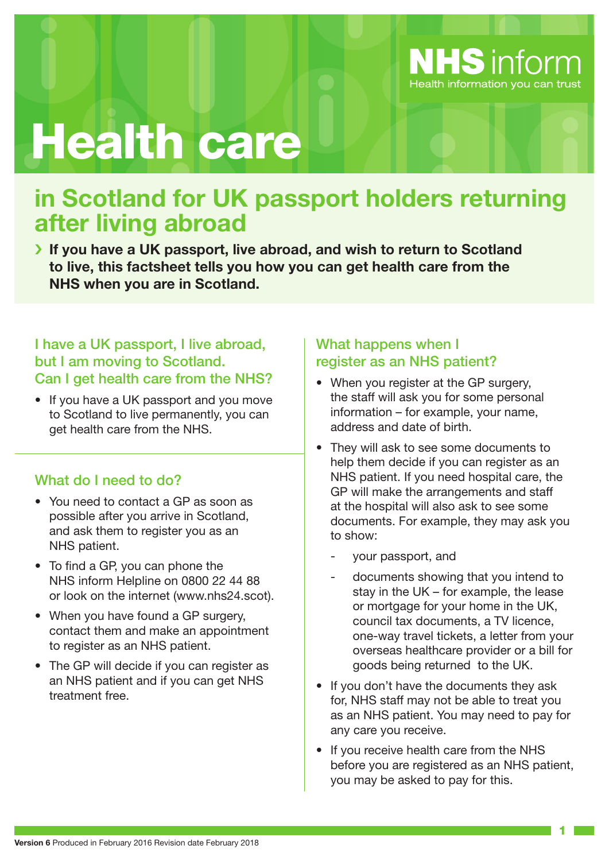

# Health care

# **in Scotland for UK passport holders returning after living abroad**

› **If you have a UK passport, live abroad, and wish to return to Scotland to live, this factsheet tells you how you can get health care from the NHS when you are in Scotland.**

#### I have a UK passport, I live abroad, but I am moving to Scotland. Can I get health care from the NHS?

• If you have a UK passport and you move to Scotland to live permanently, you can get health care from the NHS.

# What do I need to do?

- You need to contact a GP as soon as possible after you arrive in Scotland, and ask them to register you as an NHS patient.
- To find a GP, you can phone the NHS inform Helpline on 0800 22 44 88 or look on the internet (www.nhs24.scot).
- When you have found a GP surgery, contact them and make an appointment to register as an NHS patient.
- The GP will decide if you can register as an NHS patient and if you can get NHS treatment free.

# What happens when I register as an NHS patient?

- When you register at the GP surgery, the staff will ask you for some personal information – for example, your name, address and date of birth.
- They will ask to see some documents to help them decide if you can register as an NHS patient. If you need hospital care, the GP will make the arrangements and staff at the hospital will also ask to see some documents. For example, they may ask you to show:
	- your passport, and
	- documents showing that you intend to stay in the UK – for example, the lease or mortgage for your home in the UK, council tax documents, a TV licence, one-way travel tickets, a letter from your overseas healthcare provider or a bill for goods being returned to the UK.
- If you don't have the documents they ask for, NHS staff may not be able to treat you as an NHS patient. You may need to pay for any care you receive.
- If you receive health care from the NHS before you are registered as an NHS patient, you may be asked to pay for this.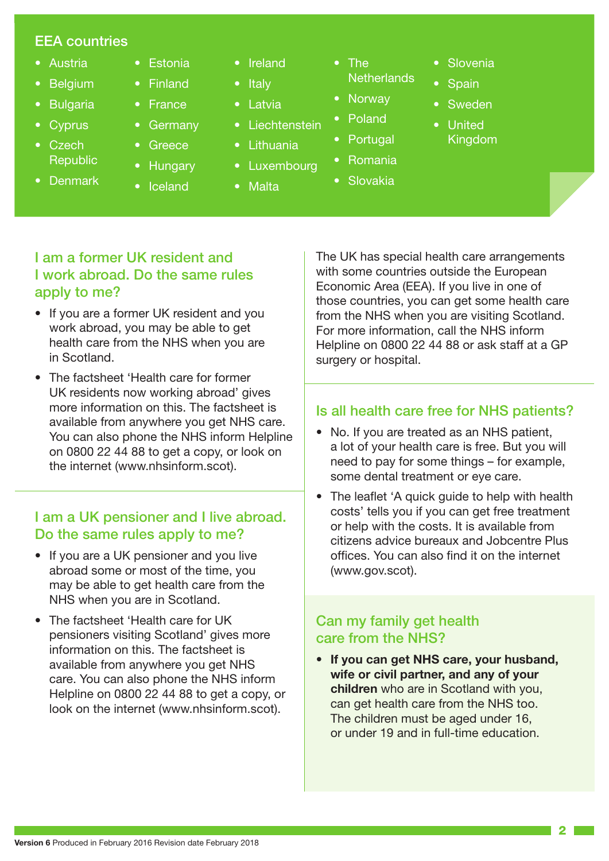#### EEA countries

- Austria
- **Belgium**
- Bulgaria
- **Cyprus**
- Czech **Republic**
- Denmark
- Estonia • Finland
- France
- **Germany**
- **Greece**
- **Hungary**
- Iceland
- Ireland
- Italy
- Latvia
- Liechtenstein
- Lithuania
- **Luxembourg**
- Malta
- The **Netherlands**
- Norway
- **Poland**
- Portugal
- Romania
- Slovakia

- I am a former UK resident and I work abroad. Do the same rules apply to me?
- If you are a former UK resident and you work abroad, you may be able to get health care from the NHS when you are in Scotland.
- The factsheet 'Health care for former UK residents now working abroad' gives more information on this. The factsheet is available from anywhere you get NHS care. You can also phone the NHS inform Helpline on 0800 22 44 88 to get a copy, or look on the internet (www.nhsinform.scot).

### I am a UK pensioner and I live abroad. Do the same rules apply to me?

- If you are a UK pensioner and you live abroad some or most of the time, you may be able to get health care from the NHS when you are in Scotland.
- The factsheet 'Health care for UK pensioners visiting Scotland' gives more information on this. The factsheet is available from anywhere you get NHS care. You can also phone the NHS inform Helpline on 0800 22 44 88 to get a copy, or look on the internet (www.nhsinform.scot).

The UK has special health care arrangements with some countries outside the European Economic Area (EEA). If you live in one of those countries, you can get some health care from the NHS when you are visiting Scotland. For more information, call the NHS inform Helpline on 0800 22 44 88 or ask staff at a GP surgery or hospital.

**Slovenia** 

**Sweden** 

**Spain** 

• United Kingdom

### Is all health care free for NHS patients?

- No. If you are treated as an NHS patient, a lot of your health care is free. But you will need to pay for some things – for example, some dental treatment or eye care.
- The leaflet 'A quick guide to help with health costs' tells you if you can get free treatment or help with the costs. It is available from citizens advice bureaux and Jobcentre Plus offices. You can also find it on the internet (www.gov.scot).

#### Can my family get health care from the NHS?

• **If you can get NHS care, your husband, wife or civil partner, and any of your children** who are in Scotland with you, can get health care from the NHS too. The children must be aged under 16, or under 19 and in full-time education.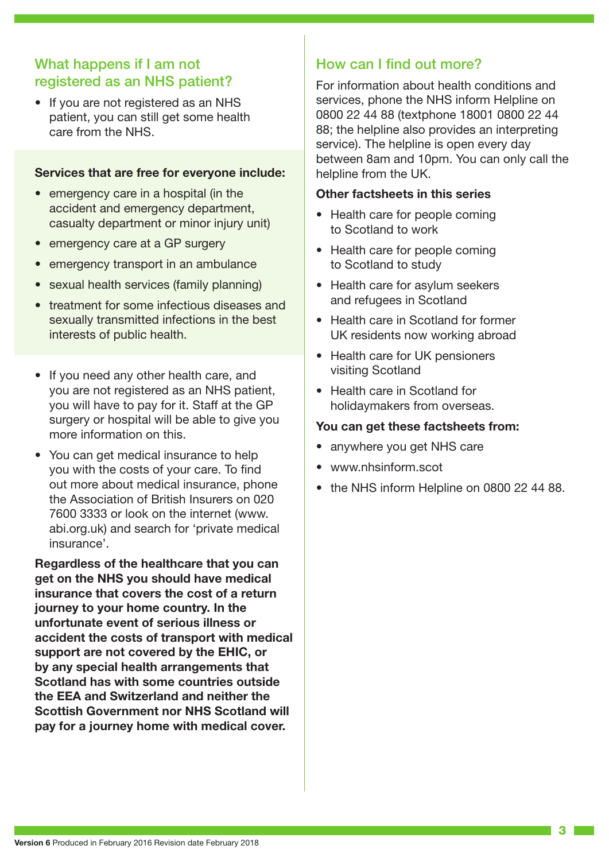# What happens if I am not registered as an NHS patient?

• If you are not registered as an NHS patient, you can still get some health care from the NHS.

#### **Services that are free for everyone include:**

- emergency care in a hospital (in the accident and emergency department, casualty department or minor injury unit)
- emergency care at a GP surgery
- emergency transport in an ambulance
- sexual health services (family planning)
- treatment for some infectious diseases and sexually transmitted infections in the best interests of public health.
- If you need any other health care, and you are not registered as an NHS patient, you will have to pay for it. Staff at the GP surgery or hospital will be able to give you more information on this.
- You can get medical insurance to help you with the costs of your care. To find out more about medical insurance, phone the Association of British Insurers on 020 7600 3333 or look on the internet (www. abi.org.uk) and search for 'private medical insurance'.

**Regardless of the healthcare that you can get on the NHS you should have medical insurance that covers the cost of a return journey to your home country. In the unfortunate event of serious illness or accident the costs of transport with medical support are not covered by the EHIC, or by any special health arrangements that Scotland has with some countries outside the EEA and Switzerland and neither the Scottish Government nor NHS Scotland will pay for a journey home with medical cover.**

### How can I find out more?

For information about health conditions and services, phone the NHS inform Helpline on 0800 22 44 88 (textphone 18001 0800 22 44 88; the helpline also provides an interpreting service). The helpline is open every day between 8am and 10pm. You can only call the helpline from the UK.

#### **Other factsheets in this series**

- Health care for people coming to Scotland to work
- Health care for people coming to Scotland to study
- Health care for asylum seekers and refugees in Scotland
- Health care in Scotland for former UK residents now working abroad
- Health care for UK pensioners visiting Scotland
- Health care in Scotland for holidaymakers from overseas.

#### **You can get these factsheets from:**

- anywhere you get NHS care
- www.nhsinform.scot
- the NHS inform Helpline on 0800 22 44 88.